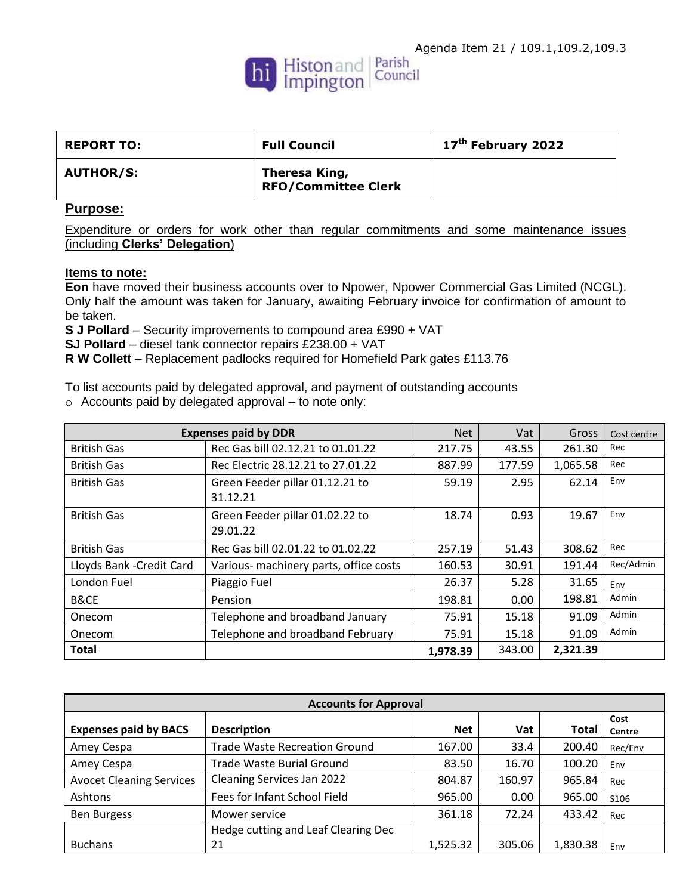

| <b>REPORT TO:</b> | <b>Full Council</b>                         | 17 <sup>th</sup> February 2022 |
|-------------------|---------------------------------------------|--------------------------------|
| <b>AUTHOR/S:</b>  | Theresa King,<br><b>RFO/Committee Clerk</b> |                                |

## **Purpose:**

Expenditure or orders for work other than regular commitments and some maintenance issues (including **Clerks' Delegation**)

## **Items to note:**

**Eon** have moved their business accounts over to Npower, Npower Commercial Gas Limited (NCGL). Only half the amount was taken for January, awaiting February invoice for confirmation of amount to be taken.

**S J Pollard** – Security improvements to compound area £990 + VAT

**SJ Pollard** – diesel tank connector repairs £238.00 + VAT

**R W Collett** – Replacement padlocks required for Homefield Park gates £113.76

To list accounts paid by delegated approval, and payment of outstanding accounts

o Accounts paid by delegated approval – to note only:

| <b>Expenses paid by DDR</b> |                                        | <b>Net</b> | Vat    | Gross    | Cost centre |
|-----------------------------|----------------------------------------|------------|--------|----------|-------------|
| <b>British Gas</b>          | Rec Gas bill 02.12.21 to 01.01.22      | 217.75     | 43.55  | 261.30   | Rec         |
| <b>British Gas</b>          | Rec Electric 28.12.21 to 27.01.22      | 887.99     | 177.59 | 1,065.58 | Rec         |
| <b>British Gas</b>          | Green Feeder pillar 01.12.21 to        | 59.19      | 2.95   | 62.14    | Env         |
|                             | 31.12.21                               |            |        |          |             |
| <b>British Gas</b>          | Green Feeder pillar 01.02.22 to        | 18.74      | 0.93   | 19.67    | Env         |
|                             | 29.01.22                               |            |        |          |             |
| <b>British Gas</b>          | Rec Gas bill 02.01.22 to 01.02.22      | 257.19     | 51.43  | 308.62   | Rec         |
| Lloyds Bank - Credit Card   | Various- machinery parts, office costs | 160.53     | 30.91  | 191.44   | Rec/Admin   |
| London Fuel                 | Piaggio Fuel                           | 26.37      | 5.28   | 31.65    | Env         |
| B&CE                        | Pension                                | 198.81     | 0.00   | 198.81   | Admin       |
| Onecom                      | Telephone and broadband January        | 75.91      | 15.18  | 91.09    | Admin       |
| Onecom                      | Telephone and broadband February       | 75.91      | 15.18  | 91.09    | Admin       |
| Total                       |                                        | 1,978.39   | 343.00 | 2,321.39 |             |

| <b>Accounts for Approval</b>    |                                      |            |        |          |                |
|---------------------------------|--------------------------------------|------------|--------|----------|----------------|
| <b>Expenses paid by BACS</b>    | <b>Description</b>                   | <b>Net</b> | Vat    | Total    | Cost<br>Centre |
| Amey Cespa                      | <b>Trade Waste Recreation Ground</b> | 167.00     | 33.4   | 200.40   | Rec/Env        |
| Amey Cespa                      | <b>Trade Waste Burial Ground</b>     | 83.50      | 16.70  | 100.20   | Env            |
| <b>Avocet Cleaning Services</b> | Cleaning Services Jan 2022           | 804.87     | 160.97 | 965.84   | Rec            |
| Ashtons                         | Fees for Infant School Field         | 965.00     | 0.00   | 965.00   | S106           |
| <b>Ben Burgess</b>              | Mower service                        | 361.18     | 72.24  | 433.42   | Rec            |
|                                 | Hedge cutting and Leaf Clearing Dec  |            |        |          |                |
| <b>Buchans</b>                  | 21                                   | 1,525.32   | 305.06 | 1,830.38 | Env            |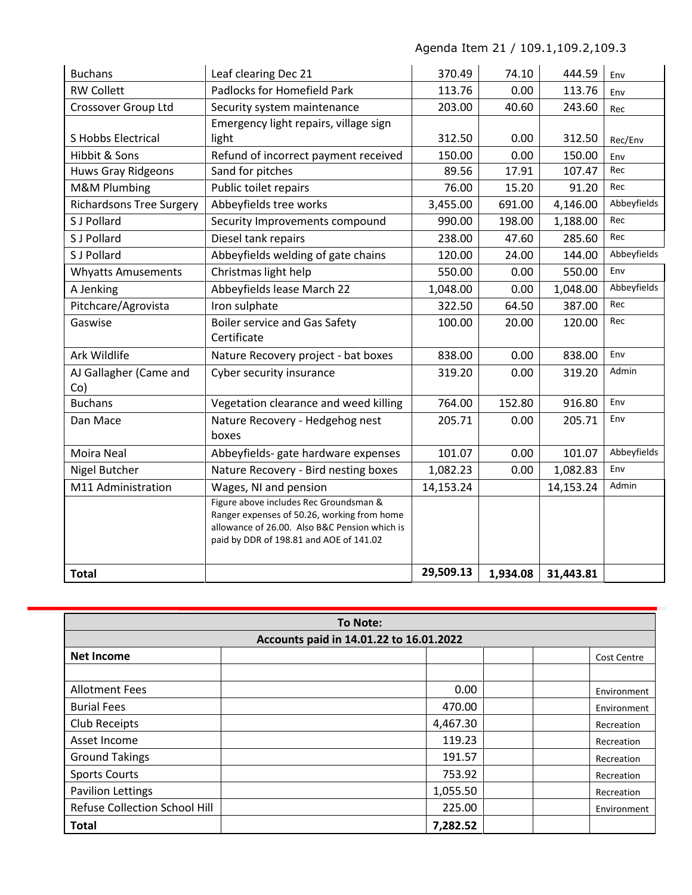Agenda Item 21 / 109.1,109.2,109.3

| <b>Buchans</b>                  | Leaf clearing Dec 21                                                                                                                                                              | 370.49    | 74.10    | 444.59    | Env         |
|---------------------------------|-----------------------------------------------------------------------------------------------------------------------------------------------------------------------------------|-----------|----------|-----------|-------------|
| <b>RW Collett</b>               | <b>Padlocks for Homefield Park</b>                                                                                                                                                | 113.76    | 0.00     | 113.76    | Env         |
| Crossover Group Ltd             | Security system maintenance                                                                                                                                                       | 203.00    | 40.60    | 243.60    | Rec         |
|                                 | Emergency light repairs, village sign                                                                                                                                             |           |          |           |             |
| S Hobbs Electrical              | light                                                                                                                                                                             | 312.50    | 0.00     | 312.50    | Rec/Env     |
| Hibbit & Sons                   | Refund of incorrect payment received                                                                                                                                              | 150.00    | 0.00     | 150.00    | Env         |
| Huws Gray Ridgeons              | Sand for pitches                                                                                                                                                                  | 89.56     | 17.91    | 107.47    | Rec         |
| <b>M&amp;M Plumbing</b>         | Public toilet repairs                                                                                                                                                             | 76.00     | 15.20    | 91.20     | Rec         |
| <b>Richardsons Tree Surgery</b> | Abbeyfields tree works                                                                                                                                                            | 3,455.00  | 691.00   | 4,146.00  | Abbeyfields |
| S J Pollard                     | Security Improvements compound                                                                                                                                                    | 990.00    | 198.00   | 1,188.00  | Rec         |
| S J Pollard                     | Diesel tank repairs                                                                                                                                                               | 238.00    | 47.60    | 285.60    | Rec         |
| S J Pollard                     | Abbeyfields welding of gate chains                                                                                                                                                | 120.00    | 24.00    | 144.00    | Abbeyfields |
| <b>Whyatts Amusements</b>       | Christmas light help                                                                                                                                                              | 550.00    | 0.00     | 550.00    | Env         |
| A Jenking                       | Abbeyfields lease March 22                                                                                                                                                        | 1,048.00  | 0.00     | 1,048.00  | Abbeyfields |
| Pitchcare/Agrovista             | Iron sulphate                                                                                                                                                                     | 322.50    | 64.50    | 387.00    | Rec         |
| Gaswise                         | <b>Boiler service and Gas Safety</b><br>Certificate                                                                                                                               | 100.00    | 20.00    | 120.00    | Rec         |
| Ark Wildlife                    | Nature Recovery project - bat boxes                                                                                                                                               | 838.00    | 0.00     | 838.00    | Env         |
| AJ Gallagher (Came and<br>Co)   | Cyber security insurance                                                                                                                                                          | 319.20    | 0.00     | 319.20    | Admin       |
| <b>Buchans</b>                  | Vegetation clearance and weed killing                                                                                                                                             | 764.00    | 152.80   | 916.80    | Env         |
| Dan Mace                        | Nature Recovery - Hedgehog nest<br>boxes                                                                                                                                          | 205.71    | 0.00     | 205.71    | Env         |
| Moira Neal                      | Abbeyfields- gate hardware expenses                                                                                                                                               | 101.07    | 0.00     | 101.07    | Abbeyfields |
| Nigel Butcher                   | Nature Recovery - Bird nesting boxes                                                                                                                                              | 1,082.23  | 0.00     | 1,082.83  | Env         |
| M11 Administration              | Wages, NI and pension                                                                                                                                                             | 14,153.24 |          | 14,153.24 | Admin       |
|                                 | Figure above includes Rec Groundsman &<br>Ranger expenses of 50.26, working from home<br>allowance of 26.00. Also B&C Pension which is<br>paid by DDR of 198.81 and AOE of 141.02 |           |          |           |             |
| <b>Total</b>                    |                                                                                                                                                                                   | 29,509.13 | 1,934.08 | 31,443.81 |             |

| To Note:                                |          |             |  |  |
|-----------------------------------------|----------|-------------|--|--|
| Accounts paid in 14.01.22 to 16.01.2022 |          |             |  |  |
| <b>Net Income</b>                       |          | Cost Centre |  |  |
|                                         |          |             |  |  |
| <b>Allotment Fees</b>                   | 0.00     | Environment |  |  |
| <b>Burial Fees</b>                      | 470.00   | Environment |  |  |
| Club Receipts                           | 4,467.30 | Recreation  |  |  |
| Asset Income                            | 119.23   | Recreation  |  |  |
| <b>Ground Takings</b>                   | 191.57   | Recreation  |  |  |
| <b>Sports Courts</b>                    | 753.92   | Recreation  |  |  |
| <b>Pavilion Lettings</b>                | 1,055.50 | Recreation  |  |  |
| <b>Refuse Collection School Hill</b>    | 225.00   | Environment |  |  |
| <b>Total</b>                            | 7,282.52 |             |  |  |